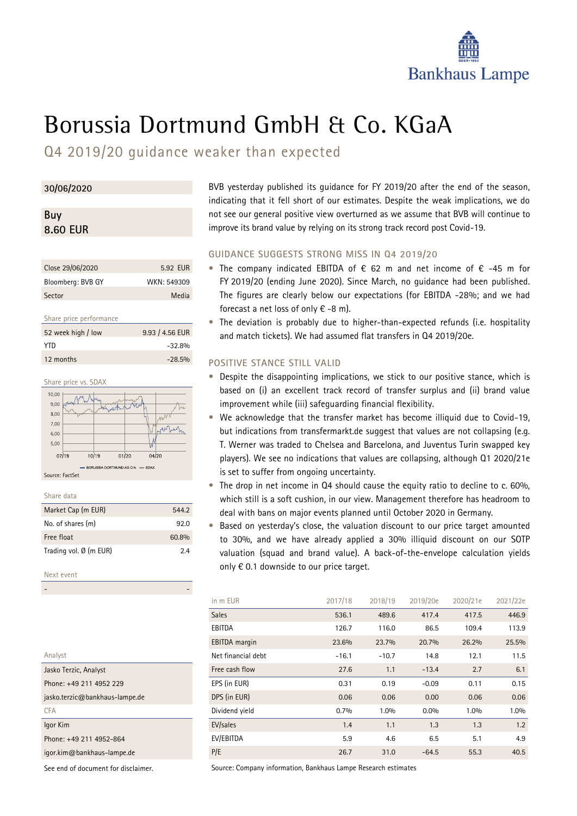

# Borussia Dortmund GmbH & Co. KGaA

Q4 2019/20 guidance weaker than expected

## **30/06/2020**

## **Buy 8.60 EUR**

| Close 29/06/2020  | 5.92 EUR    |
|-------------------|-------------|
| Bloomberg: BVB GY | WKN: 549309 |
| Sector            | Media       |

## Share price performance

| 52 week high / low | 9.93 / 4.56 EUR |
|--------------------|-----------------|
| YTD.               | $-32.8%$        |
| 12 months          | $-28.5%$        |

Share price vs. SDA



## Share data

| Market Cap (m EUR)     | 544.2 |
|------------------------|-------|
| No. of shares (m)      | 92 O  |
| Free float             | 60.8% |
| Trading vol. Ø (m EUR) | 24    |
|                        |       |

## Next event

- -

BVB yesterday published its guidance for FY 2019/20 after the end of the season, indicating that it fell short of our estimates. Despite the weak implications, we do not see our general positive view overturned as we assume that BVB will continue to improve its brand value by relying on its strong track record post Covid-19.

## **GUIDANCE SUGGESTS STRONG MISS IN Q4 2019/20**

- The company indicated EBITDA of  $\epsilon$  62 m and net income of  $\epsilon$  -45 m for FY 2019/20 (ending June 2020). Since March, no guidance had been published. The figures are clearly below our expectations (for EBITDA -28%; and we had forecast a net loss of only  $\epsilon$  -8 m).
- The deviation is probably due to higher-than-expected refunds (i.e. hospitality and match tickets). We had assumed flat transfers in Q4 2019/20e.

## **POSITIVE STANCE STILL VALID**

- Despite the disappointing implications, we stick to our positive stance, which is based on (i) an excellent track record of transfer surplus and (ii) brand value improvement while (iii) safeguarding financial flexibility.
- We acknowledge that the transfer market has become illiquid due to Covid-19, but indications from transfermarkt.de suggest that values are not collapsing (e.g. T. Werner was traded to Chelsea and Barcelona, and Juventus Turin swapped key players). We see no indications that values are collapsing, although Q1 2020/21e is set to suffer from ongoing uncertainty.
- The drop in net income in Q4 should cause the equity ratio to decline to c. 60%, which still is a soft cushion, in our view. Management therefore has headroom to deal with bans on major events planned until October 2020 in Germany.
- Based on yesterday's close, the valuation discount to our price target amounted to 30%, and we have already applied a 30% illiquid discount on our SOTP valuation (squad and brand value). A back-of-the-envelope calculation yields only € 0.1 downside to our price target.

| in m EUR             | 2017/18 | 2018/19 | 2019/20e | 2020/21e | 2021/22e |
|----------------------|---------|---------|----------|----------|----------|
| <b>Sales</b>         | 536.1   | 489.6   | 417.4    | 417.5    | 446.9    |
| EBITDA               | 126.7   | 116.0   | 86.5     | 109.4    | 113.9    |
| <b>EBITDA</b> margin | 23.6%   | 23.7%   | 20.7%    | 26.2%    | 25.5%    |
| Net financial debt   | $-16.1$ | $-10.7$ | 14.8     | 12.1     | 11.5     |
| Free cash flow       | 27.6    | 1.1     | $-13.4$  | 2.7      | 6.1      |
| EPS (in EUR)         | 0.31    | 0.19    | $-0.09$  | 0.11     | 0.15     |
| DPS (in EUR)         | 0.06    | 0.06    | 0.00     | 0.06     | 0.06     |
| Dividend yield       | 0.7%    | 1.0%    | $0.0\%$  | 1.0%     | 1.0%     |
| EV/sales             | 1.4     | 1.1     | 1.3      | 1.3      | 1.2      |
| EV/EBITDA            | 5.9     | 4.6     | 6.5      | 5.1      | 4.9      |
| P/E                  | 26.7    | 31.0    | $-64.5$  | 55.3     | 40.5     |

Analyst Jasko Terzic, Analyst Phone: +49 211 4952 229 jasko.terzic@bankhaus-lampe.de **CFA** Igor Kim Phone: +49 211 4952-864 igor.kim@bankhaus-lampe.de

See end of document for disclaimer.

Source: Company information, Bankhaus Lampe Research estimates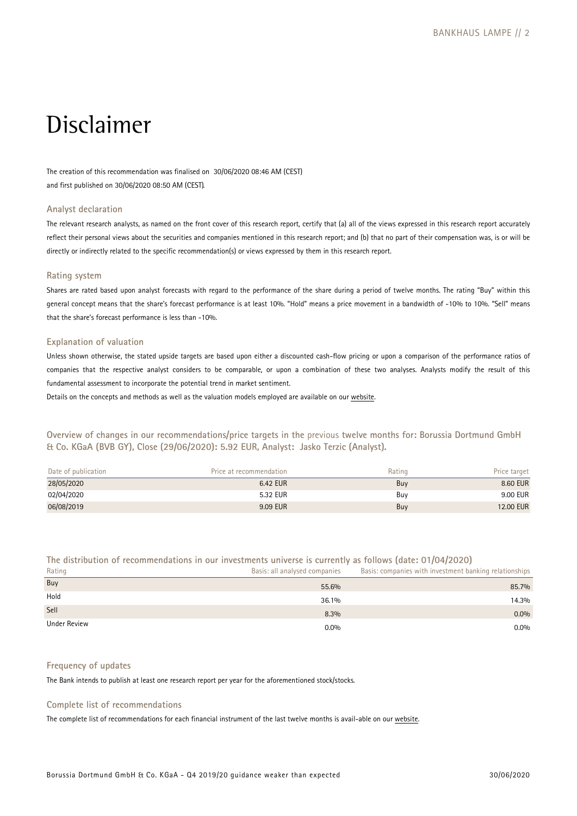## Disclaimer

The creation of this recommendation was finalised on 30/06/2020 08:46 AM (CEST) and first published on 30/06/2020 08:50 AM (CEST).

## **Analyst declaration**

The relevant research analysts, as named on the front cover of this research report, certify that (a) [all of the](https://www.bankhaus-lampe.de/en/research/file/2E1F42C7-9372-4AB5-9D28-91CB91EAA40E/1852) views expressed in this research report accurately reflect their personal views about the securities and companies mentioned in this research report; and (b) that no part of their compensation was, is or will be directly or indirectly related to the specific recommendation(s) or views expressed by them in this research report.

## **Rating system**

Shares are rated based upon analyst forecasts with regard to the performance of the share during a period of twelve months. The rating "Buy" within this general concept means that the share's forecast performance is at least 10%. "Hold" means a price movement in a bandwidth of -10% to 10%. "Sell" means that the share's forecast performance is less than -10%.

## **Explanation of valuation**

Unless shown otherwise, the stated upside targets are based upon either a discounted cash-flow pricing or upon a comparison of the performance ratios of companies that the respective analyst considers to be comparable, or upon a combination of these two analyses. Analysts modify the result of this fundamental assessment to incorporate the potential trend in market sentiment.

Details on the concepts and methods as well as the valuation models employed are available on our website.

**Overview of changes in our recommendations/price targets in the** previous **twelve months for: Borussia Dortmund GmbH & Co. KGaA (BVB GY), Close (29/06/2020): 5.92 EUR, Analyst: Jasko Terzic (Analyst).** 

| Date of publication | Price at recommendation | Rating | Price target |
|---------------------|-------------------------|--------|--------------|
| 28/05/2020          | 6.42 EUR                | Buy    | 8.60 EUR     |
| 02/04/2020          | 5.32 EUR                | Buv    | 9.00 EUR     |
| 06/08/2019          | 9.09 EUR                | Buy    | 12.00 EUR    |

## **The distribution of recommendations in our investments universe is currently as follows (date: 01/04/2020)**

Rating Basis: all analysed companies Basis: companies with investment banking relationships  ${\sf B}$ uy  ${\sf S5.6\%}$  85.7%  ${\sf B}$ 

| Hold         | 36.1%   | 14.3%   |
|--------------|---------|---------|
| Sell         | 8.3%    | $0.0\%$ |
| Under Review | $0.0\%$ | $0.0\%$ |

## **Frequency of updates**

The Bank intends to publish at least one research report per year for the aforementioned stock/stocks.

## **Complete list of recommendations**

The complete list of recommendations for each financial instrument of the last twelve months is avail-able on our [website.](https://www.bankhaus-lampe.de/en/client-portal)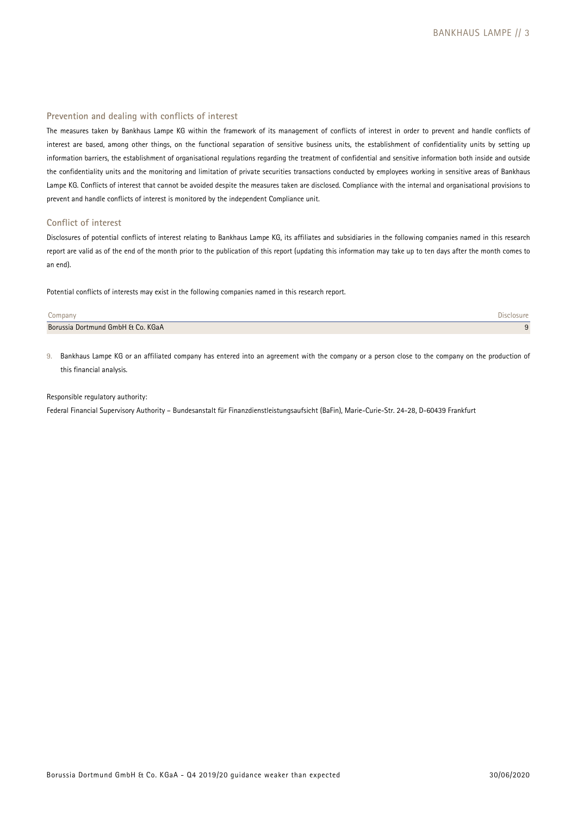## **Prevention and dealing with conflicts of interest**

The measures taken by Bankhaus Lampe KG within the framework of its management of conflicts of interest in order to prevent and handle conflicts of interest are based, among other things, on the functional separation of sensitive business units, the establishment of confidentiality units by setting up information barriers, the establishment of organisational regulations regarding the treatment of confidential and sensitive information both inside and outside the confidentiality units and the monitoring and limitation of private securities transactions conducted by employees working in sensitive areas of Bankhaus Lampe KG. Conflicts of interest that cannot be avoided despite the measures taken are disclosed. Compliance with the internal and organisational provisions to prevent and handle conflicts of interest is monitored by the independent Compliance unit.

## **Conflict of interest**

Disclosures of potential conflicts of interest relating to Bankhaus Lampe KG, its affiliates and subsidiaries in the following companies named in this research report are valid as of the end of the month prior to the publication of this report (updating this information may take up to ten days after the month comes to an end).

Potential conflicts of interests may exist in the following companies named in this research report.

| Jompany                           |  |
|-----------------------------------|--|
| Borussia Dortmund GmbH & Co. KGaA |  |

9. Bankhaus Lampe KG or an affiliated company has entered into an agreement with the company or a person close to the company on the production of this financial analysis.

## Responsible regulatory authority:

Federal Financial Supervisory Authority – Bundesanstalt für Finanzdienstleistungsaufsicht (BaFin), Marie-Curie-Str. 24-28, D-60439 Frankfurt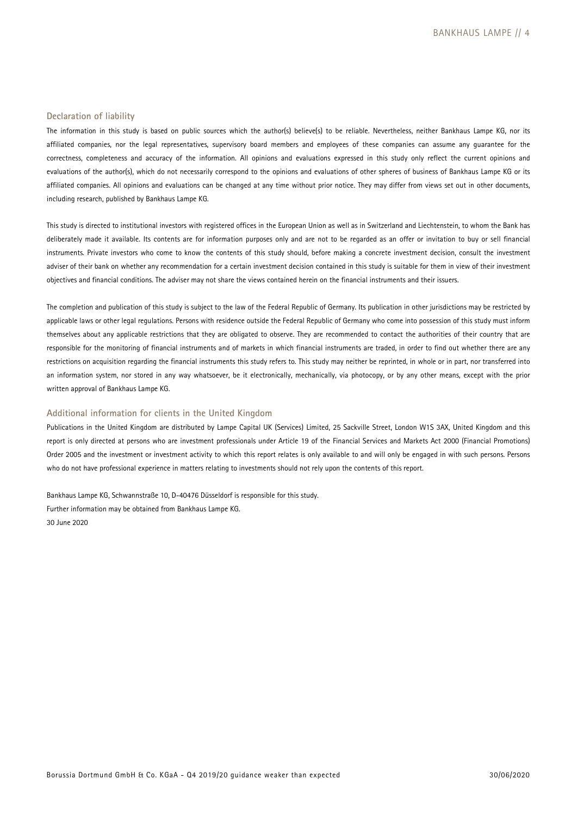#### **Declaration of liability**

The information in this study is based on public sources which the author(s) believe(s) to be reliable. Nevertheless, neither Bankhaus Lampe KG, nor its affiliated companies, nor the legal representatives, supervisory board members and employees of these companies can assume any guarantee for the correctness, completeness and accuracy of the information. All opinions and evaluations expressed in this study only reflect the current opinions and evaluations of the author(s), which do not necessarily correspond to the opinions and evaluations of other spheres of business of Bankhaus Lampe KG or its affiliated companies. All opinions and evaluations can be changed at any time without prior notice. They may differ from views set out in other documents, including research, published by Bankhaus Lampe KG.

This study is directed to institutional investors with registered offices in the European Union as well as in Switzerland and Liechtenstein, to whom the Bank has deliberately made it available. Its contents are for information purposes only and are not to be regarded as an offer or invitation to buy or sell financial instruments. Private investors who come to know the contents of this study should, before making a concrete investment decision, consult the investment adviser of their bank on whether any recommendation for a certain investment decision contained in this study is suitable for them in view of their investment objectives and financial conditions. The adviser may not share the views contained herein on the financial instruments and their issuers.

The completion and publication of this study is subject to the law of the Federal Republic of Germany. Its publication in other jurisdictions may be restricted by applicable laws or other legal regulations. Persons with residence outside the Federal Republic of Germany who come into possession of this study must inform themselves about any applicable restrictions that they are obligated to observe. They are recommended to contact the authorities of their country that are responsible for the monitoring of financial instruments and of markets in which financial instruments are traded, in order to find out whether there are any restrictions on acquisition regarding the financial instruments this study refers to. This study may neither be reprinted, in whole or in part, nor transferred into an information system, nor stored in any way whatsoever, be it electronically, mechanically, via photocopy, or by any other means, except with the prior written approval of Bankhaus Lampe KG.

## **Additional information for clients in the United Kingdom**

Publications in the United Kingdom are distributed by Lampe Capital UK (Services) Limited, 25 Sackville Street, London W1S 3AX, United Kingdom and this report is only directed at persons who are investment professionals under Article 19 of the Financial Services and Markets Act 2000 (Financial Promotions) Order 2005 and the investment or investment activity to which this report relates is only available to and will only be engaged in with such persons. Persons who do not have professional experience in matters relating to investments should not rely upon the contents of this report.

Bankhaus Lampe KG, Schwannstraße 10, D-40476 Düsseldorf is responsible for this study. Further information may be obtained from Bankhaus Lampe KG. 30 June 2020